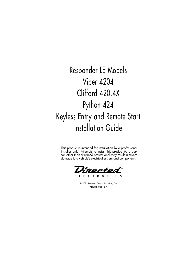Responder LE Models Viper 4204 Clifford 420.4X Python 424 Keyless Entry and Remote Start Installation Guide

This product is intended for installation by a professional installer only! Attempts to install this product by a person other than a trained professional may result in severe damage to a vehicle's electrical system and components.

E L E C T R O N I C S

© 2011 Directed Electronics, Vista, CA N4204 2011-09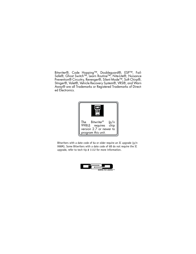Bitwriter®, Code Hopping™, Doubleguard®, ESP™, Fail-Safe®, Ghost Switch™, Learn Routine™, Nite-Lite®, Nuisance Prevention® Circuitry, Revenger®, Silent Mode™, Soft Chirp®, Stinger®, Valet®, Vehicle Recovery System®, VRS®, and Warn Away® are all Trademarks or Registered Trademarks of Directed Electronics.



Bitwriters with a date code of 6a or older require an IC upgrade (p/n 998M). Some Bitwriters with a date code of 6B do not require the IC upgrade, refer to tech tip # 1112 for more information.

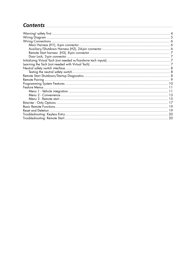# **Contents**

| Door Lock, 3-pin connector |    |
|----------------------------|----|
|                            |    |
|                            |    |
|                            |    |
|                            |    |
|                            |    |
|                            |    |
|                            |    |
|                            |    |
|                            |    |
|                            |    |
|                            |    |
|                            |    |
|                            |    |
|                            |    |
|                            |    |
|                            | 20 |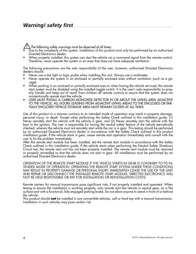## *Warning! safety first*

 $\Delta$ The following safety warnings must be observed at all times:

- Due to the complexity of this system, installation of this product must only be performed by an authorized Directed Electronics dealer.
- When properly installed, this system can start the vehicle via a command signal from the remote control. Therefore, never operate the system in an area that does not have adequate ventilation.

The following precautions are the sole responsibility of the user; however, authorized Directed Electronics dealers should:

- Never use a test light or logic probe when installing this unit. Always use a multimeter.
- Never operate the system in an enclosed or partially enclosed area without ventilation (such as a garage).
- When parking in an enclosed or partially enclosed area or when having the vehicle serviced, the remote start system must be disabled using the installed toggle switch. It is the user's sole responsibility to properly handle and keep out of reach from children all remote controls to assure that the system does not unintentionally remote start the vehicle.
- USER MUST INSTALL A CARBON MONOXIDE DETECTOR IN OR ABOUT THE LIVING AREA ADJACENT TO THE VEHICLE. ALL DOORS LEADING FROM ADJACENT LIVING AREAS TO THE ENCLOSED OR PAR-TIALLY ENCLOSED VEHICLE STORAGE AREA MUST REMAIN CLOSED AT ALL TIMES.

Use of this product in a manner contrary to its intended mode of operation may result in property damage, personal injury, or death. Except when performing the Safety Check outlined in this installation guide, (1) Never remotely start the vehicle with the vehicle in gear, and (2) Never remotely start the vehicle with the keys in the ignition. The user is responsible for having the neutral safety feature of the vehicle periodically checked, wherein the vehicle must not remotely start while the car is in gear. This testing should be performed by an authorized Directed Electronics dealer in accordance with the Safety Check outlined in this product installation guide. If the vehicle starts in gear, cease remote start operation immediately and consult with the user to fix the problem immediately.

After the remote start module has been installed, test the remote start module in accordance with the Safety Check outlined in this installation guide. If the vehicle starts when performing the Neutral Safety Shutdown Circuit test, the remote start unit has not been properly installed. The remote start module must be removed or properly reinstalled so that the vehicle does not start in gear. All installations must be performed by an authorized Directed Electronics dealer.

OPERATION OF THE REMOTE START MODULE IF THE VEHICLE STARTS IN GEAR IS CONTRARY TO ITS IN-TENDED MODE OF OPERATION. OPERATING THE REMOTE START SYSTEM UNDER THESE CONDITIONS MAY RESULT IN PROPERTY DAMAGE OR PERSONAL INJURY. IMMEDIATELY CEASE THE USE OF THE UNIT AND REPAIR OR DISCONNECT THE INSTALLED REMOTE START MODULE. DIRECTED ELECTRONICS WILL NOT BE HELD RESPONSIBLE OR PAY FOR INSTALLATION OR REINSTALLATION COSTS.

Remote starters for manual transmission pose significant risks if not properly installed and operated. When testing to ensure the installation is working properly, only remote start the vehicle in neutral gear, on a flat surface and with a functional, fully engaged parking brake. Do not allow anyone to stand in front of or behind the vehicle.

This product should **not** be installed in any convertible vehicles, soft or hard top with a manual transmission. Installation in such vehicles may pose certain risk.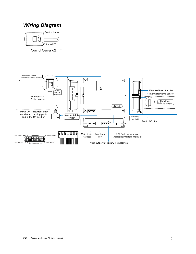# **Wiring Diagram**



Control Center 6211T

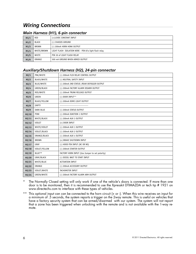# *Wiring Connections*

### *Main Harness (H1), 6-pin connector*

| H1/1 | RED         | (+)12VDC CONSTANT INPUT                                |
|------|-------------|--------------------------------------------------------|
| H1/2 | BLACK       | (-) CHASSIS GROUND                                     |
| H1/3 | BROWN       | (-) 200mA HORN HONK OUTPUT                             |
| H1/4 | WHITE/BROWN | LIGHT FLASH ISOLATION WIRE - PIN 87a light flash relay |
| H1/5 | WHITE       | PIN 30 of LIGHT FLASH RELAY                            |
| H1/6 | ORANGE      | 500 mA GROUND WHEN ARMED OUTPUT                        |

### *Auxiliary/Shutdown Harness (H2), 24-pin connector*

| H2/1               | PNK/WHITE           | (-) 200mA FLEX RELAY CONTROL OUTPUT             |  |  |  |  |
|--------------------|---------------------|-------------------------------------------------|--|--|--|--|
| H2/2               | BLACK/WHITE         | (-) NEUTRAL SAFETY INPUT                        |  |  |  |  |
| H2/3               | <b>BLUE/WHITE</b>   | (-) 200mA 2ND STATUS /REAR DEFOGGER OUTPUT      |  |  |  |  |
| H2/4               | GREEN/BLACK         | (-) 200mA FACTORY ALARM DISARM OUTPUT           |  |  |  |  |
| H2/5               | RED/WHITE           | (-) 200mA TRUNK RELEASE OUTPUT                  |  |  |  |  |
| H2/6               | GREEN               | $(-)$ DOOR INPUT**                              |  |  |  |  |
| H2/7               | <b>BLACK/YELLOW</b> | (-) 200mA DOME LIGHT OUTPUT                     |  |  |  |  |
| H2/8               | <b>EMPTY</b>        |                                                 |  |  |  |  |
| H2/9               | <b>DARK BLUE</b>    | (-) 200mA STATUS OUTPUT                         |  |  |  |  |
| H2/10              | PINK                | (-) 200mA IGNITION 1 OUTPUT                     |  |  |  |  |
| H2/11              | WHITE/BLACK         | (-) 200mA AUX 3 OUTPUT                          |  |  |  |  |
| H2/12              | VIOLET              | $(+)$ DOOR INPUT                                |  |  |  |  |
| H2/13              | WHITE/VIOLET        | (-) 200mA AUX 1 OUTPUT                          |  |  |  |  |
| H2/14              | VIOLET/BLACK        | (-) 200mA AUX 2 OUTPUT                          |  |  |  |  |
| H2/15              | ORANGE/BLACK        | (-) 200mA AUX 4 OUTPUT                          |  |  |  |  |
| H2/16              | <b>BROWN</b>        | (+) BRAKE SHUTDOWN INPUT                        |  |  |  |  |
| H2/17              | GRAY                | (-) HOOD PIN INPUT (NC OR NO)                   |  |  |  |  |
| H2/18              | VIOLET/YELLOW       | (-) 200mA STARTER OUTPUT                        |  |  |  |  |
| H2/19              | BLUE**              | FACTORY HORN INPUT (Use Jumper to set polarity) |  |  |  |  |
| H <sub>2</sub> /20 | GRAY/BLACK          | (-) DIESEL WAIT TO START INPUT                  |  |  |  |  |
| H2/21              | WHITE/BLUE          | <b>ACTIVATION INPUT</b>                         |  |  |  |  |
| H2/22              | ORANGE              | (-) 200mA ACCESSORY OUTPUT                      |  |  |  |  |
| H2/23              | VIOLET/WHITE        | TACHOMETER INPUT                                |  |  |  |  |
| H2/24              | <b>GREEN/WHITE</b>  | (-) 200mA FACTORY ALARM ARM OUTPUT              |  |  |  |  |

The Normally Closed setting will only work if one of the vehicle's doors is connected. If more than one door is to be monitored, then it is recommended to use the Xpresskit DTIMAZDA or tech tip # 1921 on www.directechs.com to interface with these types of vehicles.

\*\* This optional input can can be connected to the horn circuit (+ or -). When this wire receives an input for a minimum of .5 seconds, the system reports a trigger on the 2way remote. This is useful on vehicles that have a factory security system that can be armed/disarmed with our system. The system will not report that a zone has been triggered when unlocking with the remote and is not available with the 1-way remote.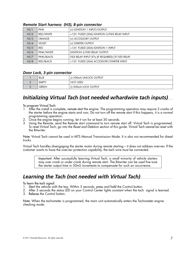| H <sub>3</sub> /1 | <b>PINK</b>   | (+) IGNITION 1 INPUT/OUTPUT                      |
|-------------------|---------------|--------------------------------------------------|
| H <sub>3</sub> /2 | RED/WHITE     | +12V FUSED (30A) IGNITION 2/FLEX RELAY INPUT     |
| H <sub>3/3</sub>  | <b>ORANGE</b> | (+) ACCESSORY OUTPUT                             |
| H <sub>3</sub> /4 | <b>VIOLET</b> | (+) STARTER OUTPUT                               |
| H <sub>3/5</sub>  | RED           | +12V FUSED (30A) IGNITION 1 INPUT                |
| H <sub>3/6</sub>  | PINK/WHITE    | <b>IGNITION 2/FLEX RELAY OUTPUT</b>              |
| H <sub>3</sub> /7 | PINK/BLACK    | FLEX RELAY INPUT 87a (IF REQUIRED) OF FLEX RELAY |
| H <sub>3</sub> /8 | RED/BLACK     | +12V FUSED (30A) ACCESSORY/STARTER INPUT         |

#### *Remote Start harness (H3), 8-pin connector*

#### *Door Lock, 3-pin connector*

| <b>BLUE</b>  | (-) 500mA UNLOCK OUTPUT |
|--------------|-------------------------|
| <b>EMPTY</b> | NOT USED                |
| GREEN        | (-) 500mA LOCK OUTPUT   |

## *Initializing Virtual Tach (not needed w/hardwire tach inputs)*

To program Virtual Tach:

- 1. After the install is complete, remote start the engine. The programming operation may require 3 cranks of the starter before the engine starts and runs. Do not turn off the remote start if this happens, it is a normal programming operation.
- 2. Once the engine begins running, let it run for at least 30 seconds.
- 3. Using the Remote, send the Remote start command to turn remote start off. Virtual Tach is programmed. To reset Virtual Tach, go into the *Reset and Deletion* section of this guide. Virtual Tach cannot be reset with the Bitwriter.

Note: Virtual Tach cannot be used in MTS Manual Transmission Mode. It is also not recommended for diesel trucks.

Virtual Tach handles disengaging the starter motor during remote starting – it does not address over-rev. If the customer wants to have the over-rev protection capability, the tach wire must be connected.

Important: After successfully learning Virtual Tach, a small minority of vehicle starters may over crank or under crank during remote start. The Bitwriter can be used fine tune the starter output time in 50mS increments to compensate for such an occurrence.

### *Learning the Tach (not needed with Virtual Tach)*

To learn the tach signal:

- 1. Start the vehicle with the key. Within 5 seconds, press and hold the Control button.
- 2. After 3 seconds the status LED on your Control Center lights constant when the tach signal is learned.
- 3. Release the Control button.

Note: When the tachometer is programmed, the main unit automatically enters the Tachometer engine checking mode.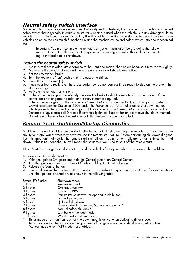# *Neutral safety switch interface*

Some vehicles do not have an electrical neutral safety switch. Instead, the vehicle has a mechanical neutral safety switch that physically interrupts the starter wire and is used when the vehicle is in any drive gear. If the remote start is interfaced before this switch, it will provide protection from starting in gear. However, some vehicles combine the column shift mechanism and the mechanical neutral safety switch into one mechanical part.

Important: You must complete the remote start system installation before doing the following test. Ensure that the remote start system is functioning normally. This includes connecting to the brake as a shut-down.

### *Testing the neutral safety switch*

- 1. Make sure there is adequate clearance to the front and rear of the vehicle because it may move slightly.
- 2. Make sure the hood is closed and there are no remote start shut-downs active.
- 3. Set the emergency brake.
- 4. Turn the key to the "run" position, this releases the shifter.
- 5. Place the car in drive (D).
- 6. Place your foot directly over the brake pedal, but do not depress it. Be ready to step on the brake if the starter engages.
- 7. Activate the remote start system.
- 8. If the starter engages, immediately depress the brake to shut the remote start system down. If the starter does not engage, no additional safety system is required.

If the starter engages and the vehicle is a General Motors product or Dodge Dakota pickup, refer to www.directechs.com for Document 1008 under the Resource tab. For an alternative shut-down method which prevents the starter from engaging. If the vehicle is not a General Motors product or a Dodge Dakota pickup, please call Directed Electronics Technical Support for an alternative shut-down method. Do not return the vehicle to the customer until this feature is properly installed!

## *Remote Start Shutdown/Startup Diagnostics*

Shutdown diagnostics: If the remote start activates but fails to stay running, the remote start module has the ability to inform you of what may have caused the remote start failure. Before performing shutdown diagnostics it is important that you let the remote start shut off on its own i.e. let it attempt to start 3 times then shut down, if this is not done the unit will report the shutdown you used to shut off the remote start.

Note: Shutdown diagnostics does not report if the vehicles factory immobilizer is causing the problem.

To perform shutdown diagnostics:

- 1. With the ignition Off, press and hold the Control button (on Control Center).
- 2. Turn the ignition On and then back Off while holding the Control button.
- 3. Release the Control button.
- 4. Press and release the Control button. The status LED flashes to report the last shutdown for one minute or until the ignition is turned on, as shown in the following table:

| <b>Status LED Flashes</b> | Shutdown Mode                                                                |
|---------------------------|------------------------------------------------------------------------------|
| 1 flash                   | Runtime expired                                                              |
| 2 flashes                 | Over-rev shutdown                                                            |
| 3 flashes                 | Low or no RPM                                                                |
| 4 flashes                 | Transmitter shutdown (or optional push button)                               |
| 5 flashes                 | (+) Brake shutdown                                                           |
| 6 flashes                 | (-) Hood shutdown                                                            |
| 7 flashes                 | Timer mode/Turbo mode/Manual mode error *                                    |
| 8 flashes                 | Neutral safety shutdown                                                      |
| 9 flashes                 | Low battery (voltage mode)                                                   |
| 11 flashes                | Wait-to-start input timed out                                                |
| $\star$                   | Timer mode error: Ignition is on or shutdown input is active when activating |
|                           |                                                                              |

timer mode. Turbo mode error: Turbo mode is programmed off, engine is not on or shutdown input is active. Manual mode error: MTS mode not enabled.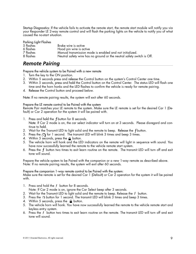Startup Diagnostics: If the vehicle fails to activate the remote start, the remote start module will notify you via your Responder LE 2-way remote control and will flash the parking lights on the vehicle to notify you of what caused the no-start situation.

| Parking Light Flashes |                                                                        |
|-----------------------|------------------------------------------------------------------------|
| 5 flashes             | Brake wire is active                                                   |
| 6 flashes             | Hood pin wire is active                                                |
| 7 flashes             | Manual transmission mode is enabled and not initialized.               |
| 8 flashes             | Neutral safety wire has no ground or the neutral safety switch is Off. |

### *Remote Pairing*

Prepare the vehicle system to be Paired with a new remote

- 1. Turn the key to the ON position.
- 2. Within 5 seconds press and release the Control button on the system's Control Center one time.
- 3. Within 5 seconds, press and hold the Control button on the Control Center. The status LED will flash one time and the horn honks and the LED flashes to confirm the vehicle is ready for remote pairing.
- 4. Release the Control button and proceed below.

Note: If no remote pairing results, the system will exit after 60 seconds.

Prepare the LE remote control to be Paired with the system

Remote Pair matches your LE remote to the system. Make sure the LE remote is set for the desired Car 1 (Default) or Car 2 operation for the system it will be paired with.

- 1. Press and hold the  $f$  button for 8 seconds. Note: If Car 2 mode is on, the car select indicator will turn on at 3 seconds. Please disregard and continue to hold.
- 2. Wait for the Transmit LED to light solid and the remote to beep. Release the  $f$  button.
- 3. Press the **for 1** second. The transmit LED will blink 3 times and beep 3 times.
- 4. Within 5 seconds, press the  $\triangle$  button.
- **AUX** 5. The vehicle horn will honk and the LED indicators on the remote will light in sequence with sound. You have now successfully learned the remote to the vehicle remote start system.
- 6. Press the  $f$  button two times to exit learn routine on the remote. The transmit LED will turn off and exit tone will sound.

Prepare the vehicle system to be Paired with the companion or a new 1-way remote as described above. Note: If no remote pairing results, the system will exit after 60 seconds.

Prepare the companion 1-way remote control to be Paired with the system:

Make sure the remote is set for the desired Car 1 (Default) or Car 2 operation for the system it will be paired with.

- 1. Press and hold the  $f$  button for 8 seconds.
- Note: If Car 2 mode is on, ignore the Car Select beep after 3 seconds.
- 2. Wait for the Transmit LED to light solid and the remote to beep. Release the  $f$  button.
- 3. Press the ⊙button for 1 second. The transmit LED will blink 3 times and beep 3 times.
- 4. Within 5 seconds, press the  $\bigoplus$  button.
- **AUX** 5. The vehicle horn will honk. You have now successfully learned the remote to the vehicle remote start and keyless entry system. **AUX**
- 6. Press the  $f$  button two times to exit learn routine on the remote. The transmit LED will turn off and exit tone will sound.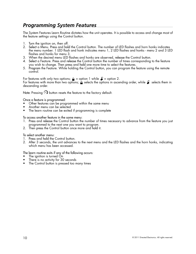## *Programming System Features*

The System Features Learn Routine dictates how the unit operates. It is possible to access and change most of the feature settings using the Control button.

- 1. Turn the ignition on, then off.
- 2. Select a Menu. Press and hold the Control button. The number of LED flashes and horn honks indicates the menu number. 1 LED flash and honk indicates menu 1, 2 LED flashes and honks - menu 2 and 3 LED flashes and honks for menu 3.
- 3. When the desired menu LED flashes and honks are observed, release the Control button.
- 4. Select a Feature. Press and release the Control button the number of times corresponding to the feature you wish to change. Then press and hold one more time to select the features.
- 5. Program the Feature. While holding the Control button, you can program the feature using the remote control.

For features with only two options;  $\triangle$  = option 1 while  $\blacktriangleright$  = option 2. For features with more than two options;  $\bm{\Delta}$  selects the options in ascending order, while  $\bm{\mathcal{S}}$  selects them in descending order.

**Note:** Pressing  $\cdot\cdot\cdot$  button resets the feature to the factory default.

Once a feature is programmed:

- Other features can be programmed within the same menu
- Another menu can be selected<br>• The learn routine can be exited
- The learn routine can be exited if programming is complete

To access another feature in the same menu:

- 1. Press and release the Control button the number of times necessary to advance from the feature you just programmed to the next one you want to program.
- 2. Then press the Control button once more and hold it.

To select another menu:

- 1. Press and hold the Control button.
- 2. After 3 seconds, the unit advances to the next menu and the LED flashes and the horn honks, indicating which menu has been accessed.

The learn routine exits if any of the following occurs:

- The ignition is turned On
- There is no activity for 30 seconds
- The Control button is pressed too many times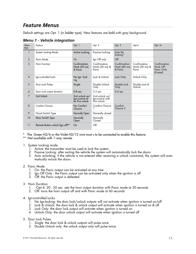## *Feature Menus*

Default settings are Opt. 1 (in bolder type). New features are bold with grey background.

| Menu<br>Item   | Feature                          | Opt. 1                                                | Opt. 2                                             | Opt. 3                                  | Opt.4                                   | Opt. 5+                                              |
|----------------|----------------------------------|-------------------------------------------------------|----------------------------------------------------|-----------------------------------------|-----------------------------------------|------------------------------------------------------|
|                | System Locking Mode              | Active Locking                                        | Passive Locking                                    | Auto Re-<br>locking*                    |                                         |                                                      |
| 2              | Panic Mode                       | On                                                    | Ign Off only                                       | $\overline{Off}$                        |                                         |                                                      |
| 3              | Horn Function                    | Confirmation<br>Honk (20 ms)<br>& Panic               | Confirmation<br>Honk (30 ms) &<br>Panic            | Confirmation<br>Honk (40 ms)<br>& Panic | Confirmation<br>Honk (50 ms) &<br>Panic | Confirmation<br>Honk Off -<br>Panic Only<br>(Pulsed) |
| $\overline{4}$ | Ign-controlled locks             | No Ign- lock-<br>Ing                                  | Lock & Unlock                                      | Lock Only                               | Unlock Only                             |                                                      |
| 5              | Door Lock Pulses                 | Single                                                | Double Unlock<br>Only                              | Double Lock<br>Only                     | Double Lock &<br>Unlock                 |                                                      |
| 6              | Door Lock output duration        | $0.8$ sec.                                            | $3.5$ sec.                                         | $0.4$ sec.                              |                                         |                                                      |
| $\overline{7}$ | 2nd Unlock                       | 2nd unlock on/<br>lgn-control af-<br>ter first unlock | 2nd unlock on/<br>Ign-control with<br>first unlock |                                         |                                         |                                                      |
| 8              | <b>Comfort Closure</b>           | No Comfort<br>Closure                                 | <b>Comfort Closure</b>                             | Comfort<br>Closure 2                    |                                         |                                                      |
| 9              | Hood Switch Type                 | Normally Open                                         | Normally closed                                    |                                         |                                         |                                                      |
| 10             | Door Switch Type                 | Normally<br>Open                                      | Normally<br>Closed                                 |                                         |                                         |                                                      |
| 11             | Remote Button unlock (Ign off)** | On                                                    | Off                                                |                                         |                                         |                                                      |

### *Menu 1 - Vehicle integration*

\* The Green H2/6 or the Violet H2/12 wire must s to be connected to enable this feature.

\*\* Not available with 1-way remote.

- 1. System Locking mode
	- 1. Active: the transmitter must be used to lock the system
	- 2. Passive Locking: after exiting the vehicle the system will automatically lock the doors
	- 3. Auto re-locking: if the vehicle is not entered after receiving a unlock command, the system will automatically re-lock the doors

#### 2. Panic Mode

- 1. On: the Panic output can be activated at any time
- 2. Ign Off Only : the Panic output can be activated only when the ignition is off
- 3. Off: the Panic output is defeated
- 3. Horn Duration
	- 1. Opt 4. 20 50 sec: sets the horn output duration with Panic mode at 30 seconds
	- 2. Off: turns the horn output off and with Panic mode at 60 seconds
- 4. Ign-controlled Locks
	- 1. No Ign-locking: the door lock/unlock outputs will not activate when ignition is turned on/off
	- 2. Lock & Unlock: the door lock & unlock output will activate when ignition is turned on & off
	- 3. Lock Only: the door lock output will activate when ignition is turned on
	- 4. Unlock Only: the door unlock output will activate when ignition is turned off
- 5. Door Lock Pulses
	- 1. Single: the door lock & unlock outputs will pulse once
	- 2. Double Unlock only: the unlock output only will pulse twice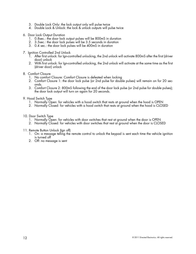- 3. Double Lock Only: the lock output only will pulse twice
- 4. Double Lock & Unlock: the lock & unlock outputs will pulse twice
- 6. Door Lock Output Duration
	- 1. 0.8sec.: the door lock output pulses will be 800mS in duration
	- 2. 3.5sec.: the door lock pulses will be 3.5 seconds in duration
	- 3. 0.4 sec.: the door lock pulses will be 400mS in duration
- 7. Ignition Controlled 2nd Unlock
	- 1. After first unlock: for Ign-controlled unlocking, the 2nd unlock will activate 800mS after the first (driver door) unlock
	- 2. With first unlock: for Ign-controlled unlocking, the 2nd unlock will activate at the same time as the first (driver door) unlock
- 8. Comfort Closure
	- 1. No comfort Closure: Comfort Closure is defeated when locking
	- 2. Comfort Closure 1: the door lock pulse (or 2nd pulse for double pulses) will remain on for 20 seconds.
	- 3. Comfort Closure 2: 800mS following the end of the door lock pulse (or 2nd pulse for double pulses); the door lock output will turn on again for 20 seconds.
- 9. Hood Switch Type
	- 1. Normally Open: for vehicles with a hood switch that rests at ground when the hood is OPEN
	- 2. Normally Closed: for vehicles with a hood switch that rests at ground when the hood is CLOSED
- 10. Door Switch Type
	- 1. Normally Open: for vehicles with door switches that rest at ground when the door is OPEN
	- 2. Normally Closed: for vehicles with door switches that rest at ground when the door is CLOSED
- 11. Remote Button Unlock (Ign off)
	- 1. On: a message telling the remote control to unlock the keypad is sent each time the vehicle ignition is turned off
	- 2. Off: no message is sent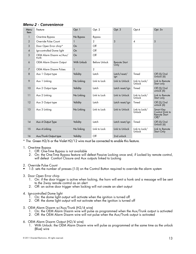| Menu<br><b>Item</b>      | Feature                          | Opt. 1      | Opt. 2         | Opt. 3                      | Opt.4                   | Opt. 5+                                                                 |
|--------------------------|----------------------------------|-------------|----------------|-----------------------------|-------------------------|-------------------------------------------------------------------------|
| $\mathbf{1}$             | One-time Bypass                  | No Bypass   | Bypass         |                             |                         |                                                                         |
| $\overline{2}$           | Override Pulse Count             | 1           | $\overline{2}$ | $\overline{3}$              | $\boldsymbol{\Lambda}$  | 5                                                                       |
| 3                        | Door Open Error chirp*           | On          | $\Omega$       |                             |                         |                                                                         |
| $\overline{\mathcal{A}}$ | Ign-controlled Dome light        | On          | $\Omega$       |                             |                         |                                                                         |
| 5                        | OEM Alarm Disarm w/Aux/<br>trunk | On          | $\Omega$       |                             |                         |                                                                         |
| 6                        | <b>OEM Alarm Disarm Output</b>   | With Unlock | Before Unlock  | <b>Remote Start</b><br>Only |                         |                                                                         |
| $\overline{7}$           | OEM Alarm Disarm Pulses          | 1           | $\overline{2}$ |                             |                         |                                                                         |
| 8                        | Aux 1 Output type                | Validity    | Latch          | Latch/reset/<br>ign         | Timed                   | Off (5)/2nd<br>Unlock (6)                                               |
| 9                        | Aux 1 Linking                    | No Linking  | Link to Lock   | Link to Unlock              | Link to Lock/<br>Unlock | Link to Remote<br>Start only                                            |
| 10                       | Aux 2 Output type                | Validity    | Latch          | Latch reset/ign             | Timed                   | Off (5)/2nd<br>unlock (6)                                               |
| 11                       | Aux 2 Linking                    | No Linking  | Link to Lock   | Link to Unlock              | Link to Lock/<br>Unlock | Link to Remote<br>Start only                                            |
| 12                       | Aux 3 Output type                | Validity    | Latch          | Latch reset/ign             | Timed                   | Off $(5)/2$ nd<br>unlock (6)                                            |
| 13                       | Aux 3 Linking                    | No Linking  | Link to Lock   | Link to Unlock              | Link to Lock/<br>Unlock | <b>Smart Key</b><br>Control (Link to<br><b>Remote Start</b><br>$Off)$ * |
| 14                       | Aux 4 Output Type                | Validity    | Latch          | Latch reset/ign             | Timed                   | Off (5)/2nd<br>Unlock (6)                                               |
| 15                       | Aux 4 Linking                    | No linking  | Link to Lock   | Link to Unlock              | Link to Lock/<br>Unlock | Link to Remote<br>Start Only                                            |
| 16                       | Aux/Trunk Output type            | Validity    | $\Omega$       | 2nd unlock                  |                         |                                                                         |

### *Menu 2 - Convenience*

\* The Green H2/6 or the Violet H2/12 wire must be connected to enable this feature.

- 1. One-time Bypass
	- 1. Off: One-Time Bypass is not available
	- 2. On: the One-Time Bypass feature will defeat Passive Locking once and, if Locked by remote control, will defeat Comfort Closure and Aux outputs linked to Locking
- 2. Override Pulse Count
- 1-5: sets the number of presses (1-5) on the Control Button required to override the alarm system
- 3. Door Open Error chirp
	- 1. On: if the door trigger is active when locking, the horn will emit a honk and a message will be sent to the 2way remote control as an alert
	- 2. Off: an active door trigger when locking will not create an alert output
- 4. Ign-controlled Dome light
	- 1. On: the dome light output will activate when the ignition is turned off
	- 2. Off: the dome light output will not activate when the ignition is turned off
- 5. OEM Alarm Disarm w/Aux/Trunk (H2/4 wire)
	- 1. On: the OEM Alarm Disarm wire will pulse as programmed when the Aux/Trunk output is activated
	- 2. Off: the OEM Alarm Disarm wire will not pulse when the Aux/Trunk output is activated
- 6. OEM Alarm Disarm Output (H2/4 wire)
	- 1. With Unlock: the OEM Alarm Disarm wire will pulse as programmed at the same time as the unlock (Blue) wire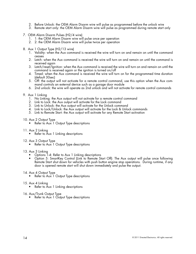- 2. Before Unlock: the OEM Alarm Disarm wire will pulse as programmed before the unlock wire
- 3. Remote start only: the OEM Alarm Disarm wire will pulse as programmed during remote start only
- 7. OEM Alarm Disarm Pulses (H2/4 wire)
	- 1. 1: the OEM Alarm Disarm wire will pulse once per operation
	- 2. 2: the OEM Alarm Disarm wire will pulse twice per operation
- 8. Aux 1 Output Type (H2/13 wire)
	- 1. Validity: when the Aux command is received the wire will turn on and remain on until the command ceases
	- 2. Latch: when the Aux command is received the wire will turn on and remain on until the command is received again
	- 3. Latch/reset/Ignition: when the Aux command is received the wire will turn on and remain on until the command is received again or the ignition is turned on/off
	- 4. Timed: when the Aux command is received the wire will turn on for the programmed time duration (default 30sec)
	- 5. Off: the output will not activate for a remote control command, use this option when the Aux command controls an external device such as a garage door module
	- 6. 2nd unlock: the wire will operate as 2nd unlock and will not activate for remote control commands
- 9. Aux 1 Linking
	- 1. No Linking: the Aux output will not activate for a remote control command
	- 2. Link to Lock: the Aux output will activate for the Lock command
	- 3. Link to Unlock: the Aux output will activate for the Unlock command
	- 4. Link to Lock/Unlock: the Aux output will activate for the Lock & Unlock commands
	- 5. Link to Remote Start: the Aux output will activate for any Remote Start activation

### 10. Aux 2 Output Type

- Refer to Aux 1 Output Type descriptions
- 11. Aux 2 Linking
	- Refer to Aux 1 Linking descriptions
- 12. Aux 3 Output Type
	- Refer to Aux 1 Output Type descriptions

### 13. Aux 3 Linking

- Options 1-4: Refer to Aux 1 Linking descriptions
- Option 5: SmartKey Control (Link to Remote Start Off): The Aux output will pulse once following Remote Start shut down for vehicles with push button engine stop operations. During runtime, if any door is opened remote start will shut down immediately and pulse the output.
- 14. Aux 4 Output Type
	- Refer to Aux 1 Output Type descriptions
- 15. Aux 4 Linking
	- Refer to Aux 1 Linking descriptions
- 16. Aux/Trunk Output Type
	- Refer to Aux 1 Output Type descriptions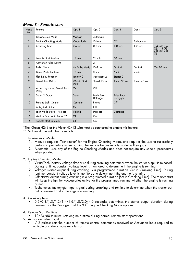| Menu<br>Item   | Feature                                | Opt. 1                        | Opt. 2                 | Opt. 3                 | Opt.4             | Opt. 5+                                                                   |
|----------------|----------------------------------------|-------------------------------|------------------------|------------------------|-------------------|---------------------------------------------------------------------------|
| $\mathbf{1}$   | <b>Transmission Mode</b>               | Manual*                       | Automatic              |                        |                   |                                                                           |
| 2              | <b>Engine Checking Mode</b>            | Virtual Tach                  | Voltage                | $\overline{Off}$       | <b>Tachometer</b> |                                                                           |
| 3              | <b>Cranking Time</b>                   | 0.6 sec.                      | $0.8$ sec.             | $1.0$ sec.             | $1.2$ sec.        | 1.4(5)/1.6<br>$\binom{6}{2}$ (6) $\binom{1.8}{7}$<br>2.0 (8) / 4.0<br>(9) |
| $\overline{4}$ | <b>Remote Start Runtime</b>            | 12 min.                       | 24 min.                | 60 min.                |                   |                                                                           |
| 5              | <b>Activation Pulse Count</b>          | 1                             | $\overline{2}$         |                        |                   |                                                                           |
| 6              | Turbo Mode                             | No Turbo Mode                 | On-1 min.              | On-3 min.              | On-5 min.         | On- 10 min.                                                               |
| 7              | <b>Timer Mode Runtime</b>              | $12$ min.                     | $3$ min.               | 6 min.                 | 9 min.            |                                                                           |
| 8              | Flex Relay Function                    | Ignition 2                    | Accessory 2            | Starter <sub>2</sub>   |                   |                                                                           |
| 9              | Diesel Start Delay                     | <b>Wait-to Start</b><br>input | Timed 15 sec.          | Timed 30 sec.          | Timed 45 sec.     |                                                                           |
| 10             | Accessory during Diesel Start<br>Delay | On                            | $\Omega$               |                        |                   |                                                                           |
| 11             | Status 2 Output                        | <b>Status</b>                 | Latch Rear<br>Defogger | Pulse Rear<br>Defogger |                   |                                                                           |
| 12             | Parking Light Output                   | Constant                      | Pulsed                 | $\overline{Off}$       |                   |                                                                           |
| 13             | Anti-grind Output                      | On                            | $\bigcirc$ ff          |                        |                   |                                                                           |
| 14             | Tach Mode Starter Release              | Normal                        | Increase               | Decrease               |                   |                                                                           |
| 15             | Vehicle Temp Auto Report**             | $\overline{Off}$              | On                     |                        |                   |                                                                           |
| 16             | <b>Remote Start Safelock</b>           | $\mathsf{Off}$                | On                     |                        |                   |                                                                           |

### *Menu 3 - Remote start*

\*The Green H2/6 or the Violet H2/12 wire must be connected to enable this feature.

\*\* Not available with 1-way remote.

- 1. Transmission Mode
	- 1. Manual: requires 'Tachometer' for the Engine Checking Mode, and requires the user to successfully perform a procedure when parking the vehicle before remote starter will engage
	- 2. Automatic: uses any of the Engine Checking Modes and does not require any special procedures when parking

#### 2. Engine Checking Mode

- 1. VirtualTach: battery voltage drop/rise during cranking determines when the starter output is released. During runtime, constant voltage level is monitored to determine if the engine is running
- 2. Voltage: starter output during cranking is a programmed duration (Set in Cranking Time). During runtime, constant voltage level is monitored to determine if the engine is running
- 3. Off: starter output during cranking is a programmed duration (Set in Cranking Time). The remote start will keep the ignition/accessories active for the programmed runtime whether the engine is running or not
- 4. Tachometer: tachometer input signal during cranking and runtime to determine when the starter output is released and if the engine is running.

#### 3. Cranking Time

 $0.6/0.8/1.0/1.2/1.4/1.6/1.8/2.0/4.0$  seconds: determines the starter output duration during cranking for the 'Voltage' and the 'Off' Engine Checking Mode options

#### 4. Remote Start Runtime

12/24/60 minutes: sets engine runtime during normal remote start operations

- 5. Activation Pulse Count
	- 1/2 pulses: sets the number of remote control commands received or Activation Input required to activate and de-activate remote start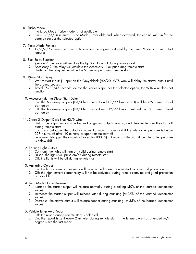#### 6. Turbo Mode

- 1. No turbo Mode: Turbo mode is not available
- 2. On 1/3/5/10 minutes: Turbo Mode is available and, when activated, the engine will run for the duration set per the selected option
- 7. Timer Mode Runtime
	- 12/3/6/9 minutes: sets the runtime when the engine is started by the Timer Mode and SmartStart features
- 8. Flex Relay Function
	- 1. Ignition 2: the relay will emulate the Ignition 1 output during remote start
	- 2. Accessory 2: the relay will emulate the Accessory 1 output during remote start
	- 3. Starter 2: the relay will emulate the Starter output during remote start

#### 9. Diesel Start Delay

- 1. Wait-to-start input: (-) input on the Grey/black (H2/20) WTS wire will delay the starter output until the ground ceases.
- 2. Timed 15/30/45 seconds: delays the starter output per the selected option, the WTS wire does not function.
- 10. Accessory during Diesel Start Delay
	- 1. On: the Accessory outputs (H3/3 high current and H2/22 low current) will be ON during diesel start delay
	- 2. Off: the Accessory outputs (H3/3 high current and H2/22 low current) will be OFF during diesel start delay
- 11. Status 2 Output (Dark Blue H2/9 wire)
	- 1. Status: the output will activate before the ignition outputs turn on, and de-activate after they turn off during remote start
	- 2. Latch rear defogger: the output activates 10 seconds after start if the interior temperature is below 55F. It turns off after 10 minutes or upon remote start off
	- 3. Pulse rear defogger: the output activates (for 800mS) 10 seconds after start if the interior temperature is below 55F.
- 12. Parking Light Output
	- 1. Constant: the lights will turn on solid during remote start
	- 2. Pulsed: the lights will pulse on/off during remote start
	- 3. Off: the lights will be off during remote start
- 13. Anti-grind Output
	- 1. On: the high current starter relay will be activated during remote start as anti-grind protection.
	- 2. Off: the high current starter relay will not be activated during remote start, no anti-grind protection is available.
- 14. Tach Mode Starter Release
	- 1. Normal: the starter output will release normally during cranking (50% of the learned tachometer value)
	- 2. Increase: the starter output will release later during cranking (at 35% of the learned tachometer value)
	- 3. Decrease: the starter output will release sooner during cranking (at 35% of the learned tachometer value)
- 15. Vehicle Temp Auto Report
	- 1. Off: the report during remote start is defeated
	- 2. On: the report is sent every 2 minutes during remote start if the temperature has changed (+/-) 1 degree since the last report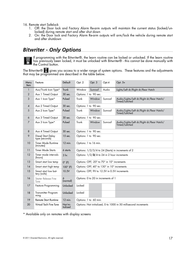16. Remote start Safelock

- 1. Off: the Door lock and Factory Alarm Re-arm outputs will maintain the current status (locked/unlocked) during remote start and after shut down
- 2. On: the Door lock and Factory Alarm Re-arm outputs will arm/lock the vehicle during remote start and after shutdown

## *Bitwriter - Only Options*



If programming with the Bitwriter®, the learn routine can be locked or unlocked. If the learn routine has previously been locked, it must be unlocked with Bitwriter® - this cannot be done manually with the Control button.

The Bitwriter®  $\Box$  gives you access to a wider range of system options. These features and the adjustments that may be programmed are described in the table below.

| Menu<br><b>Item</b> | Feature                              | Default              | Opt. 2                                                           | Opt. 3                | Opt.4                                         | Opt. 5+                                                    |  |
|---------------------|--------------------------------------|----------------------|------------------------------------------------------------------|-----------------------|-----------------------------------------------|------------------------------------------------------------|--|
| $\mathbf{1}$        | Aux/Trunk Icon Type*                 | <b>Trunk</b>         | Window                                                           | Sunroof               | Audio                                         | Lights/Left dr/Right dr/Rear Hatch                         |  |
| $\overline{2}$      | Aux 1 Timed Output                   | 30 sec.              | Options: 1 to 90 sec.                                            |                       |                                               |                                                            |  |
| 3                   | Aux 1 Icon Type*                     | Pulsed               | Trunk                                                            | Window                | Sunroof                                       | Audio/Lights/Left dr/Right dr/Rear Hatch/<br>Timed/Latched |  |
| $\overline{4}$      | Aux 2 Timed Output                   | 30 sec.              | Options: 1 to 90 sec.                                            |                       |                                               |                                                            |  |
| 5                   | Aux 2 Icon Type*                     | Pulsed               | Trunk                                                            | Window                | Sunroof                                       | Audio/Lights/Left dr/Right dr/Rear Hatch/<br>Timed/Latched |  |
| 6                   | Aux 3 Timed Output                   | 30 sec.              | Options: 1 to 90 sec.                                            |                       |                                               |                                                            |  |
| 7                   | Aux 3 Icon Type*                     | Pulsed               | Trunk                                                            | Window                | Sunroof                                       | Audio/Lights/Left dr/Right dr/Rear Hatch/<br>Timed/Latched |  |
| 8                   | Aux 4 Timed Output                   | 30 sec.              | Options: 1 to 90 sec.                                            |                       |                                               |                                                            |  |
| 9                   | Diesel Start Delay<br>type (seconds) | 15 sec.              | Options: 1 to 90 sec.                                            |                       |                                               |                                                            |  |
| 10                  | Timer Mode Runtime<br>(minutes)      | 12 min.              | Options: 1 to 16 min.                                            |                       |                                               |                                                            |  |
| 11                  | <b>Timer Mode Starts</b>             | 6 starts             | Options: 1/2/3/4 to 24 (Starts) in increments of 2               |                       |                                               |                                                            |  |
| 12                  | Timer mode intervals<br>(hours)      | 3 hr.                |                                                                  |                       | Options: $1/2/3/4$ to 24 in 2 hour increments |                                                            |  |
| 13                  | Smart start low temp                 | $0^{\circ}$ (F)      |                                                                  |                       | Options: OFF, -20° to 70° in 10° increments   |                                                            |  |
| 14                  | Smart start high temp                | $100^\circ$ (F)      |                                                                  |                       | Options: OFF, 40° to 130° in 10° increments   |                                                            |  |
| 15                  | Smart start low bat-<br>tery (volts) | 10.5V                |                                                                  |                       |                                               | Options: OFF, 9V to 12.5V in 0.5V increments               |  |
| 16                  | Starter Release Fine<br>Tune         | 6<br>(normal)        |                                                                  |                       | Options: 0 to 20 in increments of 1           |                                                            |  |
| 17                  | Feature Programming                  | Unlocked             | Locked                                                           |                       |                                               |                                                            |  |
| 18                  | Transmitter Program-<br>ming         | Unlocked             | Locked                                                           |                       |                                               |                                                            |  |
| 19                  | <b>Remote Start Runtime</b>          | 12 min.              |                                                                  | Options: 1 to 60 min. |                                               |                                                            |  |
| 20                  | Virtual Tach Fine Tune               | Not Ini-<br>tialized | Options: Not initialized, 0 to 1000 in 50 millisecond increments |                       |                                               |                                                            |  |

\* Available only on remotes with display screens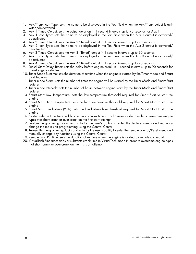- 1. Aux/Trunk Icon Type: sets the name to be displayed in the Text Field when the Aux/Trunk output is activated/de-activated
- 2. Aux 1 Timed Output: sets the output duration in 1 second intervals up to 90 seconds for Aux 1
- 3. Aux 1 Icon Type: sets the name to be displayed in the Text Field when the Aux 1 output is activated/ de-activated
- 4. Aux 2 Timed Output: sets the Aux 2 "Timed" output in 1 second intervals up to 90 seconds
- 5. Aux 2 Icon Type: sets the name to be displayed in the Text Field when the Aux 2 output is activated/ de-activated
- 6. Aux 3 Timed Output: sets the Aux 3 "Timed" output in 1 second intervals up to 90 seconds
- 7. Aux 3 Icon Type: sets the name to be displayed in the Text Field when the Aux 3 output is activated/ de-activated
- 8. Aux 4 Timed Output: sets the Aux 4 "Timed" output in 1 second intervals up to 90 seconds
- 9. Diesel Start Delay Timer: sets the delay before engine crank in 1 second intervals up to 90 seconds for diesel engine vehicles
- 10. Timer Mode Runtime: sets the duration of runtime when the engine is started by the Timer Mode and Smart Start features
- 11. Timer mode Starts: sets the number of times the engine will be started by the Timer Mode and Smart Start features
- 12. Timer mode Intervals: sets the number of hours between engine starts by the Timer Mode and Smart Start features
- 13. Smart Start Low Temperature: sets the low temperature threshold required for Smart Start to start the engine
- 14. Smart Start High Temperature: sets the high temperature threshold required for Smart Start to start the engine
- 15. Smart Start Low battery (Volts): sets the low battery level threshold required for Smart Start to start the engine
- 16. Starter Release Fine Tune: adds or subtracts crank time in Tachometer mode in order to overcome engine types that short crank or over-crank on the first start attempt
- 17. Feature Programming: locks and unlocks the user's ability to enter the feature menus and manually change the main unit programming using the Control Center
- 18. Transmitter Programming: locks and unlocks the user's ability to enter the remote control/Reset menu and manually change any functions using the Control Center
- 19. Remote Start Runtime: sets the duration of runtime when the engine is started by remote command
- 20. VirtualTach Fine tune: adds or subtracts crank time in VirtualTach mode in order to overcome engine types that short crank or over-crank on the first start attempt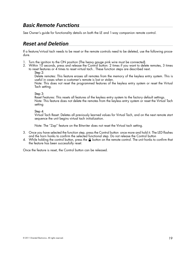### *Basic Remote Functions*

See Owner's guide for functionality details on both the LE and 1-way companion remote control.

## *Reset and Deletion*

If a feature/virtual tach needs to be reset or the remote controls need to be deleted, use the following procedure.

- 1. Turn the ignition to the ON position (The heavy gauge pink wire must be connected).
- 2. Within 10 seconds, press and release the Control button: 2 times if you want to delete remotes, 3 times to reset features or 4 times to reset virtual tach.. These function steps are described next.
	- Step 2:

Delete remotes: This feature erases all remotes from the memory of the keyless entry system. This is useful in cases when a customer's remote is lost or stolen.

Note: This does not reset the programmed features of the keyless entry system or reset the Virtual Tach setting.

Step 3:

Reset Features: This resets all features of the keyless entry system to the factory default settings. Note: This feature does not delete the remotes from the keyless entry system or reset the Virtual Tach setting

Step 4:

Virtual Tach Reset: Deletes all previously learned values for Virtual Tach, and on the next remote start sequence the unit begins virtual tach initialization.

Note: The "Zap" feature on the Bitwriter does not reset the Virtual tach setting.

- 3. Once you have selected the function step, press the Control button once more and hold it. The LED flashes and the horn honks to confirm the selected functional step. Do not release the Control button
- 4. While holding the control button, press the  $\Omega$  button on the remote control. The unit honks to confirm that the feature has been successfully reset.

Once the feature is reset, the Control button can be released.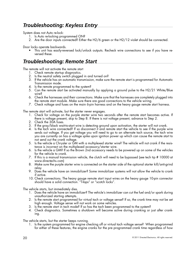# *Troubleshooting: Keyless Entry*

System does not Auto re-lock:

- 1. Is Auto re-locking programmed ON?
- 2. Are the door inputs connected? Either the H2/6 green or the H2/12 violet should be connected.

Door locks operate backwards.

• This unit has easily-reversed lock/unlock outputs. Recheck wire connections to see if you have reversed these.

## *Troubleshooting: Remote Start*

The remote will not activate the remote start

- 1. Check remote startup diagnostics.
- 2. Is the neutral safety switch plugged in and turned on?
- 3. If the vehicle has an automatic transmission, make sure the remote start is programmed for Automatic Transmission mode.
- 4. Is the remote programmed to the system?
- 5. Can the remote start be activated manually by applying a ground pulse to the H2/21 White/Blue wire?
- 6. Check the harnesses and their connections. Make sure that the harnesses are completely plugged into the remote start module. Make sure there are good connections to the vehicle wiring.
- 7. Check voltage and fuses on the main 6-pin harness and on the heavy gauge remote start harness.

The remote start will activate, but the starter never engages.

- 1. Check for voltage on the purple starter wire two seconds after the remote start becomes active. If there is voltage present, skip to Step 8. If there is not voltage present, advance to Step 2.
- 2. Check the 30A fuses.
- 3. If the gray/black wait-to-start wire is detecting ground upon activation, the starter will not crank.
- 4. Is the tach wire connected? If so disconnect it and remote start the vehicle to see if the purple wire sends out voltage. If you get voltage you will need to go to an alternate tach source, the tach wire you are currently on has a voltage spike upon ignition power up which can cause the remote start to not send out the crank voltage.
- 5. Is the vehicle a Chrysler or GM with a multiplexed starter wire? The vehicle will not crank if the resistance is incorrect on the multiplexed accessory/starter wire.
- 6. Is the vehicle a GM? If so the Brown 2nd accessory needs to be powered up on some of the vehicles for the vehicle to crank.
- 7. If this is a manual transmission vehicle, the clutch will need to be bypassed (see tech tip # 10000 at www.directechs.com)
- 8. Make sure the purple starter wire is connected on the starter side of the optional starter kill/anti-grind relay.
- 9. Does the vehicle have an immobilizer? Some immobilizer systems will not allow the vehicle to crank if active.
- 10. Check connections. The heavy gauge remote start input wires on the heavy gauge 10-pin connector should have a solid connection. "T-taps" or "scotch locks".

The vehicle starts, but immediately dies.

- 1. Does the vehicle have an immobilizer? The vehicle's immobilizer can cut the fuel and/or spark during unauthorized starting attempts.
- 2. Is the remote start programmed for virtual tach or voltage sense? If so, the crank time may not be set high enough. Voltage sense will not work on some vehicles.
- 3. Is the remote start in tach mode? If so has the tach been programmed to the system?
- 4. Check diagnostics. Sometimes a shutdown will become active during cranking or just after cranking.

The vehicle starts, but the starter keeps running.

1. Is the system programmed for engine checking off or virtual tach voltage sense? When programmed for either of these features, the engine cranks for the pre programmed crank time regardless of how